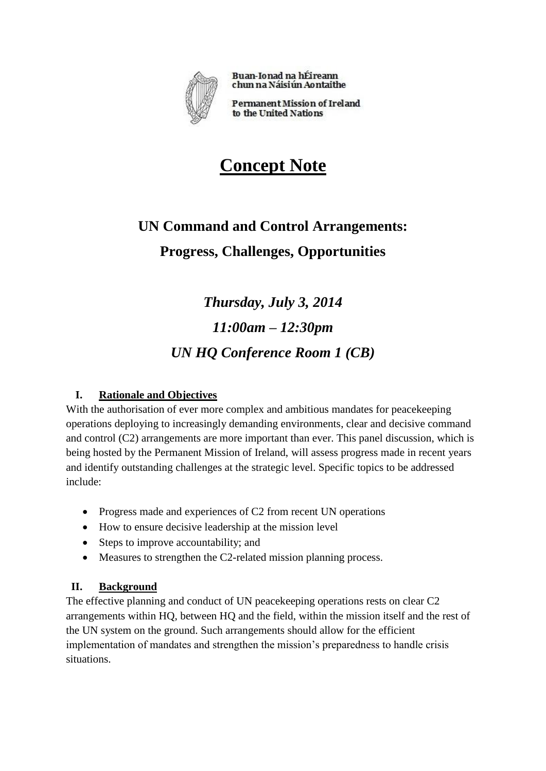

Buan-Ionad na hÉireann chun na Náisiún Aontaithe

**Permanent Mission of Ireland** to the United Nations

# **Concept Note**

## **UN Command and Control Arrangements: Progress, Challenges, Opportunities**

*Thursday, July 3, 2014 11:00am – 12:30pm UN HQ Conference Room 1 (CB)*

## **I. Rationale and Objectives**

With the authorisation of ever more complex and ambitious mandates for peacekeeping operations deploying to increasingly demanding environments, clear and decisive command and control (C2) arrangements are more important than ever. This panel discussion, which is being hosted by the Permanent Mission of Ireland, will assess progress made in recent years and identify outstanding challenges at the strategic level. Specific topics to be addressed include:

- Progress made and experiences of C2 from recent UN operations
- How to ensure decisive leadership at the mission level
- Steps to improve accountability; and
- Measures to strengthen the C2-related mission planning process.

## **II. Background**

The effective planning and conduct of UN peacekeeping operations rests on clear C2 arrangements within HQ, between HQ and the field, within the mission itself and the rest of the UN system on the ground. Such arrangements should allow for the efficient implementation of mandates and strengthen the mission's preparedness to handle crisis situations.